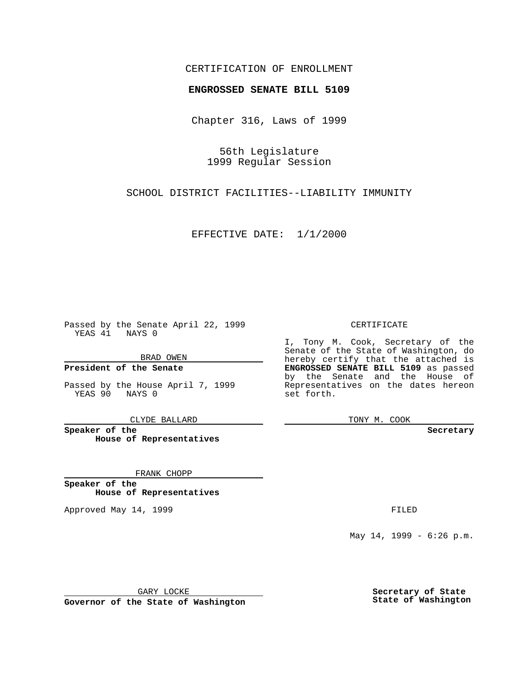### CERTIFICATION OF ENROLLMENT

# **ENGROSSED SENATE BILL 5109**

Chapter 316, Laws of 1999

56th Legislature 1999 Regular Session

SCHOOL DISTRICT FACILITIES--LIABILITY IMMUNITY

EFFECTIVE DATE: 1/1/2000

Passed by the Senate April 22, 1999 YEAS 41 NAYS 0

BRAD OWEN

**President of the Senate**

Passed by the House April 7, 1999 YEAS 90 NAYS 0

CLYDE BALLARD

**Speaker of the House of Representatives**

FRANK CHOPP

**Speaker of the House of Representatives**

Approved May 14, 1999 **FILED** 

### CERTIFICATE

I, Tony M. Cook, Secretary of the Senate of the State of Washington, do hereby certify that the attached is **ENGROSSED SENATE BILL 5109** as passed by the Senate and the House of Representatives on the dates hereon set forth.

TONY M. COOK

#### **Secretary**

May 14, 1999 - 6:26 p.m.

GARY LOCKE

**Governor of the State of Washington**

**Secretary of State State of Washington**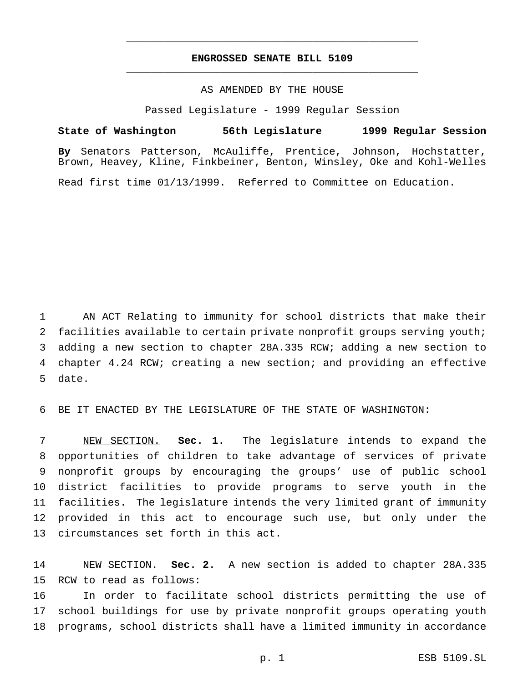## **ENGROSSED SENATE BILL 5109** \_\_\_\_\_\_\_\_\_\_\_\_\_\_\_\_\_\_\_\_\_\_\_\_\_\_\_\_\_\_\_\_\_\_\_\_\_\_\_\_\_\_\_\_\_\_\_

\_\_\_\_\_\_\_\_\_\_\_\_\_\_\_\_\_\_\_\_\_\_\_\_\_\_\_\_\_\_\_\_\_\_\_\_\_\_\_\_\_\_\_\_\_\_\_

### AS AMENDED BY THE HOUSE

Passed Legislature - 1999 Regular Session

**State of Washington 56th Legislature 1999 Regular Session**

**By** Senators Patterson, McAuliffe, Prentice, Johnson, Hochstatter, Brown, Heavey, Kline, Finkbeiner, Benton, Winsley, Oke and Kohl-Welles

Read first time 01/13/1999. Referred to Committee on Education.

 AN ACT Relating to immunity for school districts that make their 2 facilities available to certain private nonprofit groups serving youth; adding a new section to chapter 28A.335 RCW; adding a new section to chapter 4.24 RCW; creating a new section; and providing an effective date.

BE IT ENACTED BY THE LEGISLATURE OF THE STATE OF WASHINGTON:

 NEW SECTION. **Sec. 1.** The legislature intends to expand the opportunities of children to take advantage of services of private nonprofit groups by encouraging the groups' use of public school district facilities to provide programs to serve youth in the facilities. The legislature intends the very limited grant of immunity provided in this act to encourage such use, but only under the circumstances set forth in this act.

 NEW SECTION. **Sec. 2.** A new section is added to chapter 28A.335 RCW to read as follows:

 In order to facilitate school districts permitting the use of school buildings for use by private nonprofit groups operating youth programs, school districts shall have a limited immunity in accordance